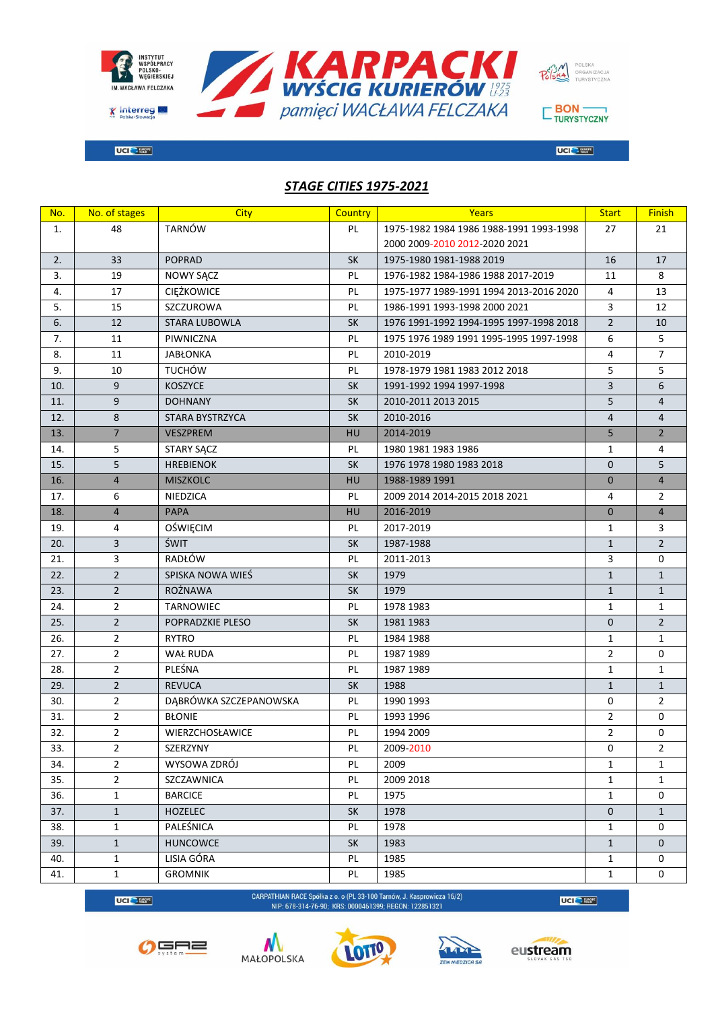

**STAGE CITIES 1975-2021** 



 $\overline{\text{UCl}}$   $\rightarrow$   $\frac{W_{\text{C}}^{KOH}}{W_{\text{U}}^{K}}$ 

 $\square$  BON  $\overline{\phantom{0}}$  TURYSTYCZNY

 $UCI \rightarrow \mathbb{R}^{n \times n}$ 

| No. | No. of stages  | City                   | Country   | <b>Years</b>                            | <b>Start</b>   | <b>Finish</b>       |
|-----|----------------|------------------------|-----------|-----------------------------------------|----------------|---------------------|
| 1.  | 48             | <b>TARNÓW</b>          | PL        | 1975-1982 1984 1986 1988-1991 1993-1998 | 27             | 21                  |
|     |                |                        |           | 2000 2009-2010 2012-2020 2021           |                |                     |
| 2.  | 33             | <b>POPRAD</b>          | <b>SK</b> | 1975-1980 1981-1988 2019                | 16             | 17                  |
| 3.  | 19             | NOWY SĄCZ              | PL        | 1976-1982 1984-1986 1988 2017-2019      | 11             | 8                   |
| 4.  | 17             | CIĘŻKOWICE             | PL        | 1975-1977 1989-1991 1994 2013-2016 2020 | 4              | 13                  |
| 5.  | 15             | SZCZUROWA              | PL        | 1986-1991 1993-1998 2000 2021           | 3              | 12                  |
| 6.  | 12             | <b>STARA LUBOWLA</b>   | <b>SK</b> | 1976 1991-1992 1994-1995 1997-1998 2018 | $\overline{2}$ | 10                  |
| 7.  | 11             | PIWNICZNA              | PL        | 1975 1976 1989 1991 1995-1995 1997-1998 | 6              | 5                   |
| 8.  | 11             | <b>JABŁONKA</b>        | PL        | 2010-2019                               | $\overline{4}$ | $\overline{7}$      |
| 9.  | 10             | <b>TUCHÓW</b>          | PL        | 1978-1979 1981 1983 2012 2018           | 5              | 5                   |
| 10. | 9              | <b>KOSZYCE</b>         | <b>SK</b> | 1991-1992 1994 1997-1998                | 3              | 6                   |
| 11. | 9              | <b>DOHNANY</b>         | <b>SK</b> | 2010-2011 2013 2015                     | 5              | $\overline{4}$      |
| 12. | 8              | STARA BYSTRZYCA        | <b>SK</b> | 2010-2016                               | $\overline{4}$ | $\overline{4}$      |
| 13. | $\overline{7}$ | <b>VESZPREM</b>        | HU        | 2014-2019                               | 5              | $\overline{2}$      |
| 14. | 5              | STARY SĄCZ             | PL        | 1980 1981 1983 1986                     | $\mathbf{1}$   | 4                   |
| 15. | 5              | <b>HREBIENOK</b>       | <b>SK</b> | 1976 1978 1980 1983 2018                | $\mathbf{0}$   | 5                   |
| 16. | $\overline{4}$ | <b>MISZKOLC</b>        | HU        | 1988-1989 1991                          | $\mathbf 0$    | $\overline{4}$      |
| 17. | 6              | NIEDZICA               | PL        | 2009 2014 2014-2015 2018 2021           | 4              | $\overline{2}$      |
| 18. | $\overline{4}$ | <b>PAPA</b>            | HU        | 2016-2019                               | $\mathbf{0}$   | $\overline{4}$      |
| 19. | 4              | OŚWIĘCIM               | PL        | 2017-2019                               | $\mathbf{1}$   | 3                   |
| 20. | 3              | <b>ŚWIT</b>            | <b>SK</b> | 1987-1988                               | $\mathbf{1}$   | $\overline{2}$      |
| 21. | 3              | RADŁÓW                 | PL        | 2011-2013                               | 3              | 0                   |
| 22. | $\overline{2}$ | SPISKA NOWA WIEŚ       | SK        | 1979                                    | $\mathbf{1}$   | $\mathbf{1}$        |
| 23. | $\overline{2}$ | ROŻNAWA                | <b>SK</b> | 1979                                    | $\mathbf{1}$   | $\mathbf{1}$        |
| 24. | $\overline{2}$ | TARNOWIEC              | PL        | 1978 1983                               | $\mathbf{1}$   | $\mathbf{1}$        |
| 25. | $\overline{2}$ | POPRADZKIE PLESO       | <b>SK</b> | 1981 1983                               | $\mathbf 0$    | $\overline{2}$      |
| 26. | $\overline{2}$ | <b>RYTRO</b>           | PL        | 1984 1988                               | $\mathbf{1}$   | $\mathbf{1}$        |
| 27. | $\overline{2}$ | WAŁ RUDA               | PL        | 1987 1989                               | $\overline{2}$ | 0                   |
| 28. | $\overline{2}$ | PLEŚNA                 | PL        | 1987 1989                               | $\mathbf{1}$   | $\mathbf{1}$        |
| 29. | $\overline{2}$ | <b>REVUCA</b>          | <b>SK</b> | 1988                                    | $\mathbf{1}$   | $\mathbf{1}$        |
| 30. | $\overline{2}$ | DĄBRÓWKA SZCZEPANOWSKA | PL        | 1990 1993                               | 0              | $\overline{2}$      |
| 31. | $\overline{2}$ | <b>BŁONIE</b>          | PL        | 1993 1996                               | 2              | 0                   |
| 32. | $\overline{2}$ | <b>WIERZCHOSŁAWICE</b> | PL        | 1994 2009                               | $\overline{2}$ | $\mathsf{O}\xspace$ |
| 33. | $\overline{2}$ | SZERZYNY               | PL        | 2009-2010                               | 0              | $\overline{2}$      |
| 34. | $\overline{2}$ | WYSOWA ZDRÓJ           | PL        | 2009                                    | $\mathbf{1}$   | $\mathbf{1}$        |
| 35. | $\overline{2}$ | SZCZAWNICA             | PL        | 2009 2018                               | $\mathbf{1}$   | $\mathbf{1}$        |
| 36. | $\mathbf{1}$   | <b>BARCICE</b>         | PL        | 1975                                    | $\mathbf{1}$   | 0                   |
| 37. | $\mathbf{1}$   | <b>HOZELEC</b>         | <b>SK</b> | 1978                                    | $\mathbf 0$    | $\mathbf{1}$        |
| 38. | $\mathbf{1}$   | PALEŚNICA              | PL        | 1978                                    | $\mathbf{1}$   | 0                   |
| 39. | $\mathbf{1}$   | <b>HUNCOWCE</b>        | SK        | 1983                                    | $\mathbf{1}$   | 0                   |
| 40. | $\mathbf{1}$   | LISIA GÓRA             | PL        | 1985                                    | $\mathbf{1}$   | 0                   |
| 41. | $\mathbf{1}$   | <b>GROMNIK</b>         | PL        | 1985                                    | $\mathbf{1}$   | 0                   |



CARPATHIAN RACE Spółka z o. o (PL 33-100 Tarnów, J. Kasprowicza 16/2)<br>NIP: 678-314-76-90; KRS: 0000461399; REGON: 122851321

 $\overline{\text{UG}}$   $\leftarrow$   $\frac{\text{Hilb}}{\text{Hilb}}$